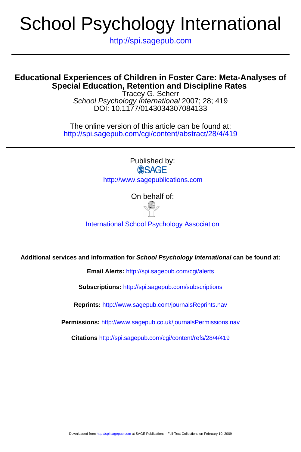# School Psychology International

http://spi.sagepub.com

# **Special Education, Retention and Discipline Rates Educational Experiences of Children in Foster Care: Meta-Analyses of**

DOI: 10.1177/0143034307084133 School Psychology International 2007; 28; 419 Tracey G. Scherr

http://spi.sagepub.com/cgi/content/abstract/28/4/419 The online version of this article can be found at:

> Published by: **SSAGE** http://www.sagepublications.com

> > On behalf of:

[International School Psychology Association](http://www.ispaweb.org)

**Additional services and information for School Psychology International can be found at:**

**Email Alerts:** <http://spi.sagepub.com/cgi/alerts>

**Subscriptions:** <http://spi.sagepub.com/subscriptions>

**Reprints:** <http://www.sagepub.com/journalsReprints.nav>

**Permissions:** <http://www.sagepub.co.uk/journalsPermissions.nav>

**Citations** <http://spi.sagepub.com/cgi/content/refs/28/4/419>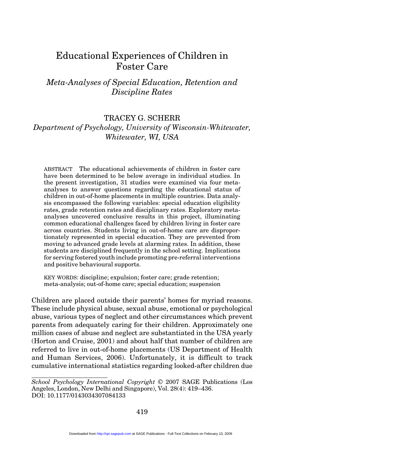# Educational Experiences of Children in Foster Care

# *Meta-Analyses of Special Education, Retention and Discipline Rates*

# TRACEY G. SCHERR

# *Department of Psychology, University of Wisconsin-Whitewater, Whitewater, WI, USA*

ABSTRACT The educational achievements of children in foster care have been determined to be below average in individual studies. In the present investigation, 31 studies were examined via four metaanalyses to answer questions regarding the educational status of children in out-of-home placements in multiple countries. Data analysis encompassed the following variables: special education eligibility rates, grade retention rates and disciplinary rates. Exploratory metaanalyses uncovered conclusive results in this project, illuminating common educational challenges faced by children living in foster care across countries. Students living in out-of-home care are disproportionately represented in special education. They are prevented from moving to advanced grade levels at alarming rates. In addition, these students are disciplined frequently in the school setting. Implications for serving fostered youth include promoting pre-referral interventions and positive behavioural supports.

KEY WORDS: discipline; expulsion; foster care; grade retention; meta-analysis; out-of-home care; special education; suspension

Children are placed outside their parents' homes for myriad reasons. These include physical abuse, sexual abuse, emotional or psychological abuse, various types of neglect and other circumstances which prevent parents from adequately caring for their children. Approximately one million cases of abuse and neglect are substantiated in the USA yearly (Horton and Cruise, 2001) and about half that number of children are referred to live in out-of-home placements (US Department of Health and Human Services, 2006). Unfortunately, it is difficult to track cumulative international statistics regarding looked-after children due

*School Psychology International Copyright* © 2007 SAGE Publications (Los Angeles, London, New Delhi and Singapore), Vol. 28(4): 419–436. DOI: 10.1177/0143034307084133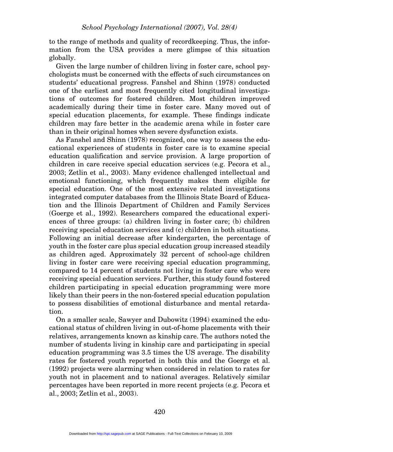to the range of methods and quality of recordkeeping. Thus, the information from the USA provides a mere glimpse of this situation globally.

Given the large number of children living in foster care, school psychologists must be concerned with the effects of such circumstances on students' educational progress. Fanshel and Shinn (1978) conducted one of the earliest and most frequently cited longitudinal investigations of outcomes for fostered children. Most children improved academically during their time in foster care. Many moved out of special education placements, for example. These findings indicate children may fare better in the academic arena while in foster care than in their original homes when severe dysfunction exists.

As Fanshel and Shinn (1978) recognized, one way to assess the educational experiences of students in foster care is to examine special education qualification and service provision. A large proportion of children in care receive special education services (e.g. Pecora et al., 2003; Zetlin et al., 2003). Many evidence challenged intellectual and emotional functioning, which frequently makes them eligible for special education. One of the most extensive related investigations integrated computer databases from the Illinois State Board of Education and the Illinois Department of Children and Family Services (Goerge et al., 1992). Researchers compared the educational experiences of three groups: (a) children living in foster care; (b) children receiving special education services and (c) children in both situations. Following an initial decrease after kindergarten, the percentage of youth in the foster care plus special education group increased steadily as children aged. Approximately 32 percent of school-age children living in foster care were receiving special education programming, compared to 14 percent of students not living in foster care who were receiving special education services. Further, this study found fostered children participating in special education programming were more likely than their peers in the non-fostered special education population to possess disabilities of emotional disturbance and mental retardation.

On a smaller scale, Sawyer and Dubowitz (1994) examined the educational status of children living in out-of-home placements with their relatives, arrangements known as kinship care. The authors noted the number of students living in kinship care and participating in special education programming was 3.5 times the US average. The disability rates for fostered youth reported in both this and the Goerge et al. (1992) projects were alarming when considered in relation to rates for youth not in placement and to national averages. Relatively similar percentages have been reported in more recent projects (e.g. Pecora et al., 2003; Zetlin et al., 2003).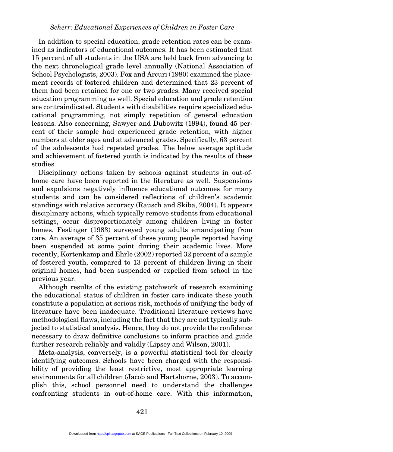#### *Scherr: Educational Experiences of Children in Foster Care*

In addition to special education, grade retention rates can be examined as indicators of educational outcomes. It has been estimated that 15 percent of all students in the USA are held back from advancing to the next chronological grade level annually (National Association of School Psychologists, 2003). Fox and Arcuri (1980) examined the placement records of fostered children and determined that 23 percent of them had been retained for one or two grades. Many received special education programming as well. Special education and grade retention are contraindicated. Students with disabilities require specialized educational programming, not simply repetition of general education lessons. Also concerning, Sawyer and Dubowitz (1994), found 45 percent of their sample had experienced grade retention, with higher numbers at older ages and at advanced grades. Specifically, 63 percent of the adolescents had repeated grades. The below average aptitude and achievement of fostered youth is indicated by the results of these studies.

Disciplinary actions taken by schools against students in out-ofhome care have been reported in the literature as well. Suspensions and expulsions negatively influence educational outcomes for many students and can be considered reflections of children's academic standings with relative accuracy (Rausch and Skiba, 2004). It appears disciplinary actions, which typically remove students from educational settings, occur disproportionately among children living in foster homes. Festinger (1983) surveyed young adults emancipating from care. An average of 35 percent of these young people reported having been suspended at some point during their academic lives. More recently, Kortenkamp and Ehrle (2002) reported 32 percent of a sample of fostered youth, compared to 13 percent of children living in their original homes, had been suspended or expelled from school in the previous year.

Although results of the existing patchwork of research examining the educational status of children in foster care indicate these youth constitute a population at serious risk, methods of unifying the body of literature have been inadequate. Traditional literature reviews have methodological flaws, including the fact that they are not typically subjected to statistical analysis. Hence, they do not provide the confidence necessary to draw definitive conclusions to inform practice and guide further research reliably and validly (Lipsey and Wilson, 2001).

Meta-analysis, conversely, is a powerful statistical tool for clearly identifying outcomes. Schools have been charged with the responsibility of providing the least restrictive, most appropriate learning environments for all children (Jacob and Hartshorne, 2003). To accomplish this, school personnel need to understand the challenges confronting students in out-of-home care. With this information,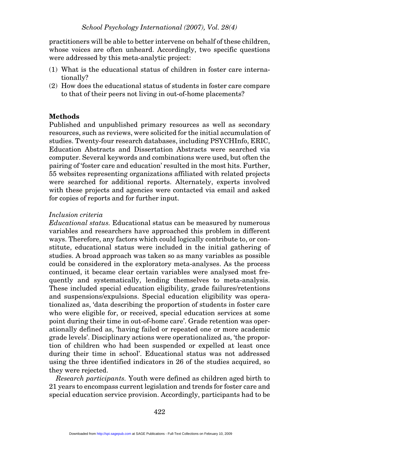practitioners will be able to better intervene on behalf of these children, whose voices are often unheard. Accordingly, two specific questions were addressed by this meta-analytic project:

- (1) What is the educational status of children in foster care internationally?
- (2) How does the educational status of students in foster care compare to that of their peers not living in out-of-home placements?

# **Methods**

Published and unpublished primary resources as well as secondary resources, such as reviews, were solicited for the initial accumulation of studies. Twenty-four research databases, including PSYCHInfo, ERIC, Education Abstracts and Dissertation Abstracts were searched via computer. Several keywords and combinations were used, but often the pairing of 'foster care and education' resulted in the most hits. Further, 55 websites representing organizations affiliated with related projects were searched for additional reports. Alternately, experts involved with these projects and agencies were contacted via email and asked for copies of reports and for further input.

## *Inclusion criteria*

*Educational status.* Educational status can be measured by numerous variables and researchers have approached this problem in different ways. Therefore, any factors which could logically contribute to, or constitute, educational status were included in the initial gathering of studies. A broad approach was taken so as many variables as possible could be considered in the exploratory meta-analyses. As the process continued, it became clear certain variables were analysed most frequently and systematically, lending themselves to meta-analysis. These included special education eligibility, grade failures/retentions and suspensions/expulsions. Special education eligibility was operationalized as, 'data describing the proportion of students in foster care who were eligible for, or received, special education services at some point during their time in out-of-home care'. Grade retention was operationally defined as, 'having failed or repeated one or more academic grade levels'. Disciplinary actions were operationalized as, 'the proportion of children who had been suspended or expelled at least once during their time in school'. Educational status was not addressed using the three identified indicators in 26 of the studies acquired, so they were rejected.

*Research participants.* Youth were defined as children aged birth to 21 years to encompass current legislation and trends for foster care and special education service provision. Accordingly, participants had to be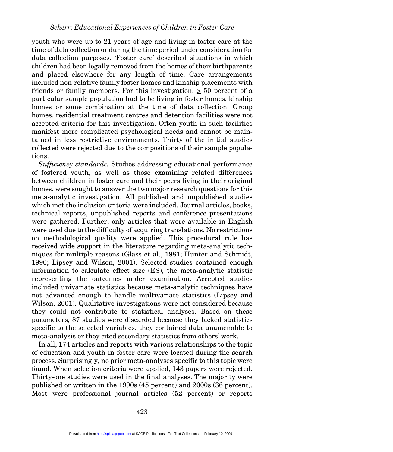youth who were up to 21 years of age and living in foster care at the time of data collection or during the time period under consideration for data collection purposes. 'Foster care' described situations in which children had been legally removed from the homes of their birthparents and placed elsewhere for any length of time. Care arrangements included non-relative family foster homes and kinship placements with friends or family members. For this investigation,  $\geq 50$  percent of a particular sample population had to be living in foster homes, kinship homes or some combination at the time of data collection. Group homes, residential treatment centres and detention facilities were not accepted criteria for this investigation. Often youth in such facilities manifest more complicated psychological needs and cannot be maintained in less restrictive environments. Thirty of the initial studies collected were rejected due to the compositions of their sample populations.

*Sufficiency standards.* Studies addressing educational performance of fostered youth, as well as those examining related differences between children in foster care and their peers living in their original homes, were sought to answer the two major research questions for this meta-analytic investigation. All published and unpublished studies which met the inclusion criteria were included. Journal articles, books, technical reports, unpublished reports and conference presentations were gathered. Further, only articles that were available in English were used due to the difficulty of acquiring translations. No restrictions on methodological quality were applied. This procedural rule has received wide support in the literature regarding meta-analytic techniques for multiple reasons (Glass et al., 1981; Hunter and Schmidt, 1990; Lipsey and Wilson, 2001). Selected studies contained enough information to calculate effect size (ES), the meta-analytic statistic representing the outcomes under examination. Accepted studies included univariate statistics because meta-analytic techniques have not advanced enough to handle multivariate statistics (Lipsey and Wilson, 2001). Qualitative investigations were not considered because they could not contribute to statistical analyses. Based on these parameters, 87 studies were discarded because they lacked statistics specific to the selected variables, they contained data unamenable to meta-analysis or they cited secondary statistics from others' work.

In all, 174 articles and reports with various relationships to the topic of education and youth in foster care were located during the search process. Surprisingly, no prior meta-analyses specific to this topic were found. When selection criteria were applied, 143 papers were rejected. Thirty-one studies were used in the final analyses. The majority were published or written in the 1990s (45 percent) and 2000s (36 percent). Most were professional journal articles (52 percent) or reports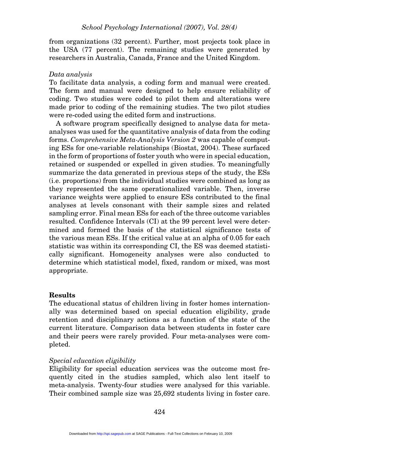from organizations (32 percent). Further, most projects took place in the USA (77 percent). The remaining studies were generated by researchers in Australia, Canada, France and the United Kingdom.

#### *Data analysis*

To facilitate data analysis, a coding form and manual were created. The form and manual were designed to help ensure reliability of coding. Two studies were coded to pilot them and alterations were made prior to coding of the remaining studies. The two pilot studies were re-coded using the edited form and instructions.

A software program specifically designed to analyse data for metaanalyses was used for the quantitative analysis of data from the coding forms. *Comprehensive Meta-Analysis Version 2* was capable of computing ESs for one-variable relationships (Biostat, 2004). These surfaced in the form of proportions of foster youth who were in special education, retained or suspended or expelled in given studies. To meaningfully summarize the data generated in previous steps of the study, the ESs (i.e. proportions) from the individual studies were combined as long as they represented the same operationalized variable. Then, inverse variance weights were applied to ensure ESs contributed to the final analyses at levels consonant with their sample sizes and related sampling error. Final mean ESs for each of the three outcome variables resulted. Confidence Intervals (CI) at the 99 percent level were determined and formed the basis of the statistical significance tests of the various mean ESs. If the critical value at an alpha of 0.05 for each statistic was within its corresponding CI, the ES was deemed statistically significant. Homogeneity analyses were also conducted to determine which statistical model, fixed, random or mixed, was most appropriate.

## **Results**

The educational status of children living in foster homes internationally was determined based on special education eligibility, grade retention and disciplinary actions as a function of the state of the current literature. Comparison data between students in foster care and their peers were rarely provided. Four meta-analyses were completed.

## *Special education eligibility*

Eligibility for special education services was the outcome most frequently cited in the studies sampled, which also lent itself to meta-analysis. Twenty-four studies were analysed for this variable. Their combined sample size was 25,692 students living in foster care.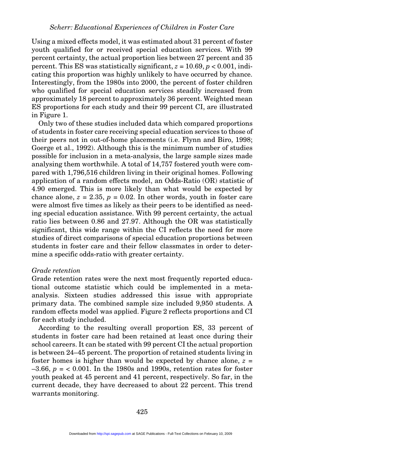Using a mixed effects model, it was estimated about 31 percent of foster youth qualified for or received special education services. With 99 percent certainty, the actual proportion lies between 27 percent and 35 percent. This ES was statistically significant,  $z = 10.69$ ,  $p < 0.001$ , indicating this proportion was highly unlikely to have occurred by chance. Interestingly, from the 1980s into 2000, the percent of foster children who qualified for special education services steadily increased from approximately 18 percent to approximately 36 percent. Weighted mean ES proportions for each study and their 99 percent CI, are illustrated in Figure 1.

Only two of these studies included data which compared proportions of students in foster care receiving special education services to those of their peers not in out-of-home placements (i.e. Flynn and Biro, 1998; Goerge et al., 1992). Although this is the minimum number of studies possible for inclusion in a meta-analysis, the large sample sizes made analysing them worthwhile. A total of 14,757 fostered youth were compared with 1,796,516 children living in their original homes. Following application of a random effects model, an Odds-Ratio (OR) statistic of 4.90 emerged. This is more likely than what would be expected by chance alone,  $z = 2.35$ ,  $p = 0.02$ . In other words, youth in foster care were almost five times as likely as their peers to be identified as needing special education assistance. With 99 percent certainty, the actual ratio lies between 0.86 and 27.97. Although the OR was statistically significant, this wide range within the CI reflects the need for more studies of direct comparisons of special education proportions between students in foster care and their fellow classmates in order to determine a specific odds-ratio with greater certainty.

#### *Grade retention*

Grade retention rates were the next most frequently reported educational outcome statistic which could be implemented in a metaanalysis. Sixteen studies addressed this issue with appropriate primary data. The combined sample size included 9,950 students. A random effects model was applied. Figure 2 reflects proportions and CI for each study included.

According to the resulting overall proportion ES, 33 percent of students in foster care had been retained at least once during their school careers. It can be stated with 99 percent CI the actual proportion is between 24–45 percent. The proportion of retained students living in foster homes is higher than would be expected by chance alone,  $z =$  $-3.66$ ,  $p = < 0.001$ . In the 1980s and 1990s, retention rates for foster youth peaked at 45 percent and 41 percent, respectively. So far, in the current decade, they have decreased to about 22 percent. This trend warrants monitoring.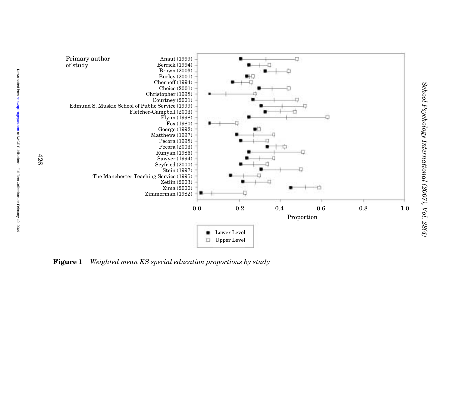

**Figure 1** *Weighted mean ES special education proportions by study*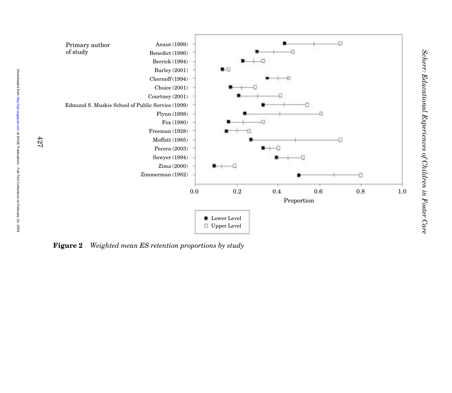

**Figure 2** *Weighted mean ES retention proportions by study*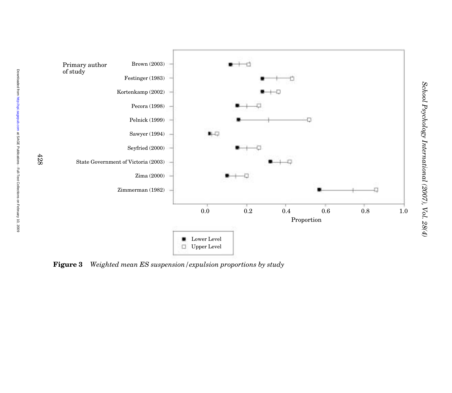

**Figure 3** *Weighted mean ES suspension/expulsion proportions by study*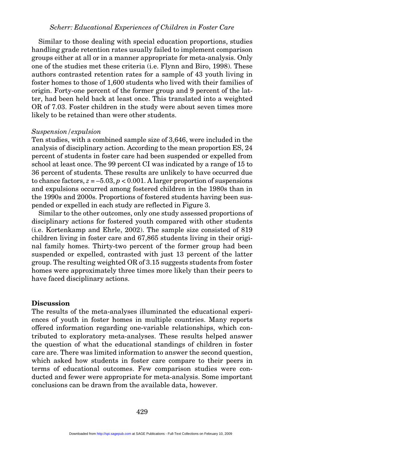#### *Scherr: Educational Experiences of Children in Foster Care*

Similar to those dealing with special education proportions, studies handling grade retention rates usually failed to implement comparison groups either at all or in a manner appropriate for meta-analysis. Only one of the studies met these criteria (i.e. Flynn and Biro, 1998). These authors contrasted retention rates for a sample of 43 youth living in foster homes to those of 1,600 students who lived with their families of origin. Forty-one percent of the former group and 9 percent of the latter, had been held back at least once. This translated into a weighted OR of 7.03. Foster children in the study were about seven times more likely to be retained than were other students.

#### *Suspension/expulsion*

Ten studies, with a combined sample size of 3,646, were included in the analysis of disciplinary action. According to the mean proportion ES, 24 percent of students in foster care had been suspended or expelled from school at least once. The 99 percent CI was indicated by a range of 15 to 36 percent of students. These results are unlikely to have occurred due to chance factors,  $z = -5.03$ ,  $p < 0.001$ . A larger proportion of suspensions and expulsions occurred among fostered children in the 1980s than in the 1990s and 2000s. Proportions of fostered students having been suspended or expelled in each study are reflected in Figure 3.

Similar to the other outcomes, only one study assessed proportions of disciplinary actions for fostered youth compared with other students (i.e. Kortenkamp and Ehrle, 2002). The sample size consisted of 819 children living in foster care and 67,865 students living in their original family homes. Thirty-two percent of the former group had been suspended or expelled, contrasted with just 13 percent of the latter group. The resulting weighted OR of 3.15 suggests students from foster homes were approximately three times more likely than their peers to have faced disciplinary actions.

#### **Discussion**

The results of the meta-analyses illuminated the educational experiences of youth in foster homes in multiple countries. Many reports offered information regarding one-variable relationships, which contributed to exploratory meta-analyses. These results helped answer the question of what the educational standings of children in foster care are. There was limited information to answer the second question, which asked how students in foster care compare to their peers in terms of educational outcomes. Few comparison studies were conducted and fewer were appropriate for meta-analysis. Some important conclusions can be drawn from the available data, however.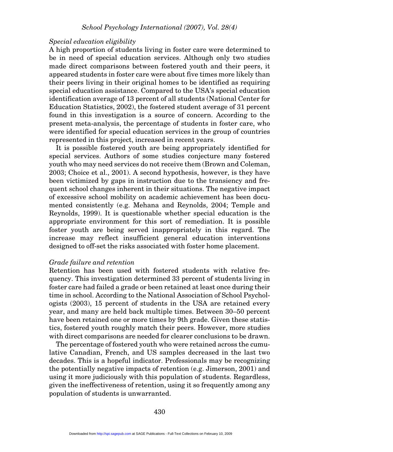#### *Special education eligibility*

A high proportion of students living in foster care were determined to be in need of special education services. Although only two studies made direct comparisons between fostered youth and their peers, it appeared students in foster care were about five times more likely than their peers living in their original homes to be identified as requiring special education assistance. Compared to the USA's special education identification average of 13 percent of all students (National Center for Education Statistics, 2002), the fostered student average of 31 percent found in this investigation is a source of concern. According to the present meta-analysis, the percentage of students in foster care, who were identified for special education services in the group of countries represented in this project, increased in recent years.

It is possible fostered youth are being appropriately identified for special services. Authors of some studies conjecture many fostered youth who may need services do not receive them (Brown and Coleman, 2003; Choice et al., 2001). A second hypothesis, however, is they have been victimized by gaps in instruction due to the transiency and frequent school changes inherent in their situations. The negative impact of excessive school mobility on academic achievement has been documented consistently (e.g. Mehana and Reynolds, 2004; Temple and Reynolds, 1999). It is questionable whether special education is the appropriate environment for this sort of remediation. It is possible foster youth are being served inappropriately in this regard. The increase may reflect insufficient general education interventions designed to off-set the risks associated with foster home placement.

#### *Grade failure and retention*

Retention has been used with fostered students with relative frequency. This investigation determined 33 percent of students living in foster care had failed a grade or been retained at least once during their time in school. According to the National Association of School Psychologists (2003), 15 percent of students in the USA are retained every year, and many are held back multiple times. Between 30–50 percent have been retained one or more times by 9th grade. Given these statistics, fostered youth roughly match their peers. However, more studies with direct comparisons are needed for clearer conclusions to be drawn.

The percentage of fostered youth who were retained across the cumulative Canadian, French, and US samples decreased in the last two decades. This is a hopeful indicator. Professionals may be recognizing the potentially negative impacts of retention (e.g. Jimerson, 2001) and using it more judiciously with this population of students. Regardless, given the ineffectiveness of retention, using it so frequently among any population of students is unwarranted.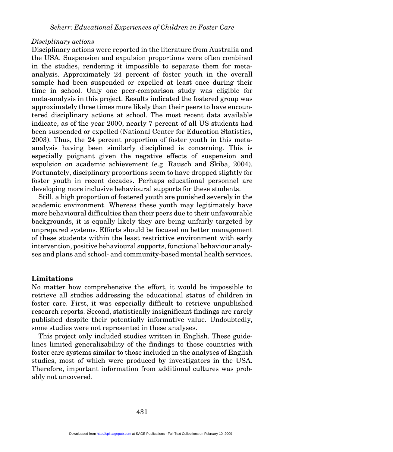#### *Disciplinary actions*

Disciplinary actions were reported in the literature from Australia and the USA. Suspension and expulsion proportions were often combined in the studies, rendering it impossible to separate them for metaanalysis. Approximately 24 percent of foster youth in the overall sample had been suspended or expelled at least once during their time in school. Only one peer-comparison study was eligible for meta-analysis in this project. Results indicated the fostered group was approximately three times more likely than their peers to have encountered disciplinary actions at school. The most recent data available indicate, as of the year 2000, nearly 7 percent of all US students had been suspended or expelled (National Center for Education Statistics, 2003). Thus, the 24 percent proportion of foster youth in this metaanalysis having been similarly disciplined is concerning. This is especially poignant given the negative effects of suspension and expulsion on academic achievement (e.g. Rausch and Skiba, 2004). Fortunately, disciplinary proportions seem to have dropped slightly for foster youth in recent decades. Perhaps educational personnel are developing more inclusive behavioural supports for these students.

Still, a high proportion of fostered youth are punished severely in the academic environment. Whereas these youth may legitimately have more behavioural difficulties than their peers due to their unfavourable backgrounds, it is equally likely they are being unfairly targeted by unprepared systems. Efforts should be focused on better management of these students within the least restrictive environment with early intervention, positive behavioural supports, functional behaviour analyses and plans and school- and community-based mental health services.

#### **Limitations**

No matter how comprehensive the effort, it would be impossible to retrieve all studies addressing the educational status of children in foster care. First, it was especially difficult to retrieve unpublished research reports. Second, statistically insignificant findings are rarely published despite their potentially informative value. Undoubtedly, some studies were not represented in these analyses.

This project only included studies written in English. These guidelines limited generalizability of the findings to those countries with foster care systems similar to those included in the analyses of English studies, most of which were produced by investigators in the USA. Therefore, important information from additional cultures was probably not uncovered.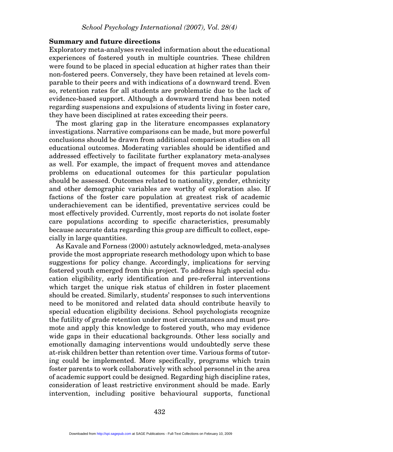#### **Summary and future directions**

Exploratory meta-analyses revealed information about the educational experiences of fostered youth in multiple countries. These children were found to be placed in special education at higher rates than their non-fostered peers. Conversely, they have been retained at levels comparable to their peers and with indications of a downward trend. Even so, retention rates for all students are problematic due to the lack of evidence-based support. Although a downward trend has been noted regarding suspensions and expulsions of students living in foster care, they have been disciplined at rates exceeding their peers.

The most glaring gap in the literature encompasses explanatory investigations. Narrative comparisons can be made, but more powerful conclusions should be drawn from additional comparison studies on all educational outcomes. Moderating variables should be identified and addressed effectively to facilitate further explanatory meta-analyses as well. For example, the impact of frequent moves and attendance problems on educational outcomes for this particular population should be assessed. Outcomes related to nationality, gender, ethnicity and other demographic variables are worthy of exploration also. If factions of the foster care population at greatest risk of academic underachievement can be identified, preventative services could be most effectively provided. Currently, most reports do not isolate foster care populations according to specific characteristics, presumably because accurate data regarding this group are difficult to collect, especially in large quantities.

As Kavale and Forness (2000) astutely acknowledged, meta-analyses provide the most appropriate research methodology upon which to base suggestions for policy change. Accordingly, implications for serving fostered youth emerged from this project. To address high special education eligibility, early identification and pre-referral interventions which target the unique risk status of children in foster placement should be created. Similarly, students' responses to such interventions need to be monitored and related data should contribute heavily to special education eligibility decisions. School psychologists recognize the futility of grade retention under most circumstances and must promote and apply this knowledge to fostered youth, who may evidence wide gaps in their educational backgrounds. Other less socially and emotionally damaging interventions would undoubtedly serve these at-risk children better than retention over time. Various forms of tutoring could be implemented. More specifically, programs which train foster parents to work collaboratively with school personnel in the area of academic support could be designed. Regarding high discipline rates, consideration of least restrictive environment should be made. Early intervention, including positive behavioural supports, functional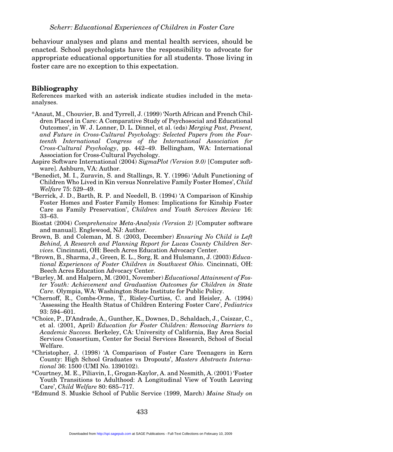behaviour analyses and plans and mental health services, should be enacted. School psychologists have the responsibility to advocate for appropriate educational opportunities for all students. Those living in foster care are no exception to this expectation.

## **Bibliography**

References marked with an asterisk indicate studies included in the metaanalyses.

- \*Anaut, M., Chouvier, B. and Tyrrell, J. (1999) 'North African and French Children Placed in Care: A Comparative Study of Psychosocial and Educational Outcomes', in W. J. Lonner, D. L. Dinnel, et al. (eds) *Merging Past, Present, and Future in Cross-Cultural Psychology: Selected Papers from the Fourteenth International Congress of the International Association for Cross-Cultural Psychology*, pp. 442–49. Bellingham, WA: International Association for Cross-Cultural Psychology.
- Aspire Software International (2004) *SigmaPlot (Version 9.0)* [Computer software]. Ashburn, VA: Author.
- \*Benedict, M. I., Zuravin, S. and Stallings, R. Y. (1996) 'Adult Functioning of Children Who Lived in Kin versus Nonrelative Family Foster Homes', *Child Welfare* 75: 529–49.
- \*Berrick, J. D., Barth, R. P. and Needell, B. (1994) 'A Comparison of Kinship Foster Homes and Foster Family Homes: Implications for Kinship Foster Care as Family Preservation', *Children and Youth Services Review* 16: 33–63.
- Biostat (2004) *Comprehensive Meta-Analysis (Version 2)* [Computer software and manual]. Englewood, NJ: Author.
- Brown, B. and Coleman, M. S. (2003, December) *Ensuring No Child is Left Behind, A Research and Planning Report for Lucas County Children Services.* Cincinnati, OH: Beech Acres Education Advocacy Center.
- \*Brown, B., Sharma, J., Green, E. L., Sorg, R. and Hulsmann, J. (2003) *Educational Experiences of Foster Children in Southwest Ohio.* Cincinnati, OH: Beech Acres Education Advocacy Center.
- \*Burley, M. and Halpern, M. (2001, November) *Educational Attainment of Foster Youth: Achievement and Graduation Outcomes for Children in State Care.* Olympia, WA: Washington State Institute for Public Policy.
- \*Chernoff, R., Combs-Orme, T., Risley-Curtiss, C. and Heisler, A. (1994) 'Assessing the Health Status of Children Entering Foster Care', *Pediatrics* 93: 594–601.
- \*Choice, P., D'Andrade, A., Gunther, K., Downes, D., Schaldach, J., Csiszar, C., et al. (2001, April) *Education for Foster Children: Removing Barriers to Academic Success.* Berkeley, CA: University of California, Bay Area Social Services Consortium, Center for Social Services Research, School of Social Welfare.
- \*Christopher, J. (1998) 'A Comparison of Foster Care Teenagers in Kern County: High School Graduates vs Dropouts', *Masters Abstracts International* 36: 1500 (UMI No. 1390102).
- \*Courtney, M. E., Piliavin, I., Grogan-Kaylor, A. and Nesmith, A. (2001) 'Foster Youth Transitions to Adulthood: A Longitudinal View of Youth Leaving Care', *Child Welfare* 80: 685–717.

\*Edmund S. Muskie School of Public Service (1999, March) *Maine Study on*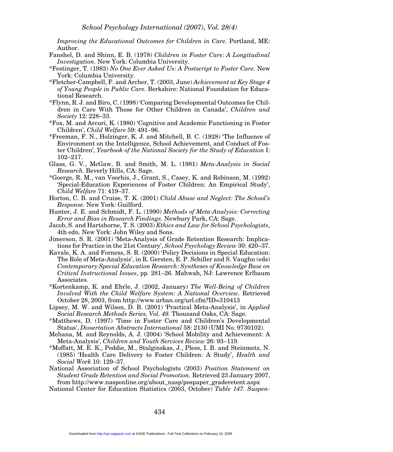*Improving the Educational Outcomes for Children in Care.* Portland, ME: Author.

- Fanshel, D. and Shinn, E. B. (1978) *Children in Foster Care: A Longitudinal Investigation.* New York: Columbia University.
- \*Festinger, T. (1983) *No One Ever Asked Us: A Postscript to Foster Care.* New York: Columbia University.
- \*Fletcher-Campbell, F. and Archer, T. (2003, June) *Achievement at Key Stage 4 of Young People in Public Care.* Berkshire: National Foundation for Educational Research.
- \*Flynn, R. J. and Biro, C. (1998) 'Comparing Developmental Outcomes for Children in Care With Those for Other Children in Canada', *Children and Society* 12: 228–33.
- \*Fox, M. and Arcuri, K. (1980) 'Cognitive and Academic Functioning in Foster Children', *Child Welfare* 59: 491–96.
- \*Freeman, F. N., Holzinger, K. J. and Mitchell, B. C. (1928) 'The Influence of Environment on the Intelligence, School Achievement, and Conduct of Foster Children', *Yearbook of the National Society for the Study of Education* I: 102–217.
- Glass, G. V., McGaw, B. and Smith, M. L. (1981) *Meta-Analysis in Social Research.* Beverly Hills, CA: Sage.
- \*Goerge, R. M., van Voorhis, J., Grant, S., Casey, K. and Robinson, M. (1992) 'Special-Education Experiences of Foster Children: An Empirical Study', *Child Welfare* 71: 419–37.
- Horton, C. B. and Cruise, T. K. (2001) *Child Abuse and Neglect: The School's Response.* New York: Guilford.
- Hunter, J. E. and Schmidt, F. L. (1990) *Methods of Meta-Analysis: Correcting Error and Bias in Research Findings.* Newbury Park, CA: Sage.
- Jacob, S. and Hartshorne, T. S. (2003) *Ethics and Law for School Psychologists*, 4th edn. New York: John Wiley and Sons.
- Jimerson, S. R. (2001) 'Meta-Analysis of Grade Retention Research: Implications for Practice in the 21st Century', *School Psychology Review* 30: 420–37.
- Kavale, K. A. and Forness, S. R. (2000) 'Policy Decisions in Special Education: The Role of Meta-Analysis', in R. Gersten, E. P. Schiller and S. Vaughn (eds) *Contemporary Special Education Research: Syntheses of Knowledge Base on Critical Instructional Issues*, pp. 281–26. Mahwah, NJ: Lawrence Erlbaum Associates.
- \*Kortenkamp, K. and Ehrle, J. (2002, January) *The Well-Being of Children Involved With the Child Welfare System: A National Overview.* Retrieved October 28, 2003, from http://www.urban.org/url.cfm?ID=310413
- Lipsey, M. W. and Wilson, D. B. (2001) 'Practical Meta-Analysis', in *Applied Social Research Methods Series, Vol. 49.* Thousand Oaks, CA: Sage.
- \*Matthews, D. (1997) 'Time in Foster Care and Children's Developmental Status', *Dissertation Abstracts International* 58: 2130 (UMI No. 9730102).
- Mehana, M. and Reynolds, A. J. (2004) 'School Mobility and Achievement: A Meta-Analysis', *Children and Youth Services Review* 26: 93–119.
- \*Moffatt, M. E. K., Peddie, M., Stulginskas, J., Pless, I. B. and Steinmetz, N. (1985) 'Health Care Delivery to Foster Children: A Study', *Health and Social Work* 10: 129–37.
- National Association of School Psychologists (2003) *Position Statement on Student Grade Retention and Social Promotion.* Retrieved 23 January 2007, from http://www.nasponline.org/about\_nasp/pospaper\_graderetent.aspx
- National Center for Education Statistics (2003, October) *Table 147. Suspen-*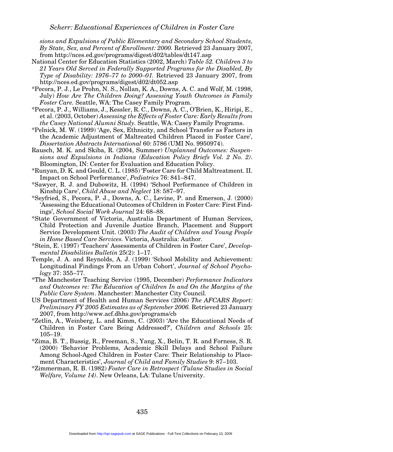#### *Scherr: Educational Experiences of Children in Foster Care*

*sions and Expulsions of Public Elementary and Secondary School Students, By State, Sex, and Percent of Enrollment: 2000.* Retrieved 23 January 2007, from http://nces.ed.gov/programs/digest/d02/tables/dt147.asp

- National Center for Education Statistics (2002, March) *Table 52. Children 3 to 21 Years Old Served in Federally Supported Programs for the Disabled, By Type of Disability: 1976–77 to 2000–01.* Retrieved 23 January 2007, from http://nces.ed.gov/programs/digest/d02/dt052.asp
- \*Pecora, P. J., Le Prohn, N. S., Nollan, K. A., Downs, A. C. and Wolf, M. (1998, July) *How Are The Children Doing? Assessing Youth Outcomes in Family Foster Care.* Seattle, WA: The Casey Family Program.
- \*Pecora, P. J., Williams, J., Kessler, R. C., Downs, A. C., O'Brien, K., Hiripi, E., et al. (2003, October) *Assessing the Effects of Foster Care: Early Results from the Casey National Alumni Study.* Seattle, WA: Casey Family Programs.
- \*Pelnick, M. W. (1999) 'Age, Sex, Ethnicity, and School Transfer as Factors in the Academic Adjustment of Maltreated Children Placed in Foster Care', *Dissertation Abstracts International* 60: 5786 (UMI No. 9950974).
- Rausch, M. K. and Skiba, R. (2004, Summer) *Unplanned Outcomes: Suspensions and Expulsions in Indiana (Education Policy Briefs Vol. 2 No. 2)*. Bloomington, IN: Center for Evaluation and Education Policy.
- \*Runyan, D. K. and Gould, C. L. (1985) 'Foster Care for Child Maltreatment. II. Impact on School Performance', *Pediatrics* 76: 841–847.
- \*Sawyer, R. J. and Dubowitz, H. (1994) 'School Performance of Children in Kinship Care', *Child Abuse and Neglect* 18: 587–97.
- \*Seyfried, S., Pecora, P. J., Downs, A. C., Levine, P. and Emerson, J. (2000) 'Assessing the Educational Outcomes of Children in Foster Care: First Findings', *School Social Work Journal* 24: 68–88.
- \*State Government of Victoria, Australia Department of Human Services, Child Protection and Juvenile Justice Branch, Placement and Support Service Development Unit. (2003) *The Audit of Children and Young People in Home Based Care Services.* Victoria, Australia: Author.
- \*Stein, E. (1997) 'Teachers' Assessments of Children in Foster Care', *Developmental Disabilities Bulletin* 25(2): 1–17.
- Temple, J. A. and Reynolds, A. J. (1999) 'School Mobility and Achievement: Longitudinal Findings From an Urban Cohort', *Journal of School Psychology* 37: 355–77.
- \*The Manchester Teaching Service (1995, December) *Performance Indicators and Outcomes re: The Education of Children In and On the Margins of the Public Care System*. Manchester: Manchester City Council.
- US Department of Health and Human Services (2006) *The AFCARS Report: Preliminary FY 2005 Estimates as of September 2006.* Retrieved 23 January 2007, from http://www.acf.dhhs.gov/programs/cb
- \*Zetlin, A., Weinberg, L. and Kimm, C. (2003) 'Are the Educational Needs of Children in Foster Care Being Addressed?', *Children and Schools* 25: 105–19.
- \*Zima, B. T., Bussig, R., Freeman, S., Yang, X., Belin, T. R. and Forness, S. R. (2000) 'Behavior Problems, Academic Skill Delays and School Failure Among School-Aged Children in Foster Care: Their Relationship to Placement Characteristics', *Journal of Child and Family Studies* 9: 87–103.
- \*Zimmerman, R. B. (1982) *Foster Care in Retrospect (Tulane Studies in Social Welfare, Volume 14)*. New Orleans, LA: Tulane University.

435